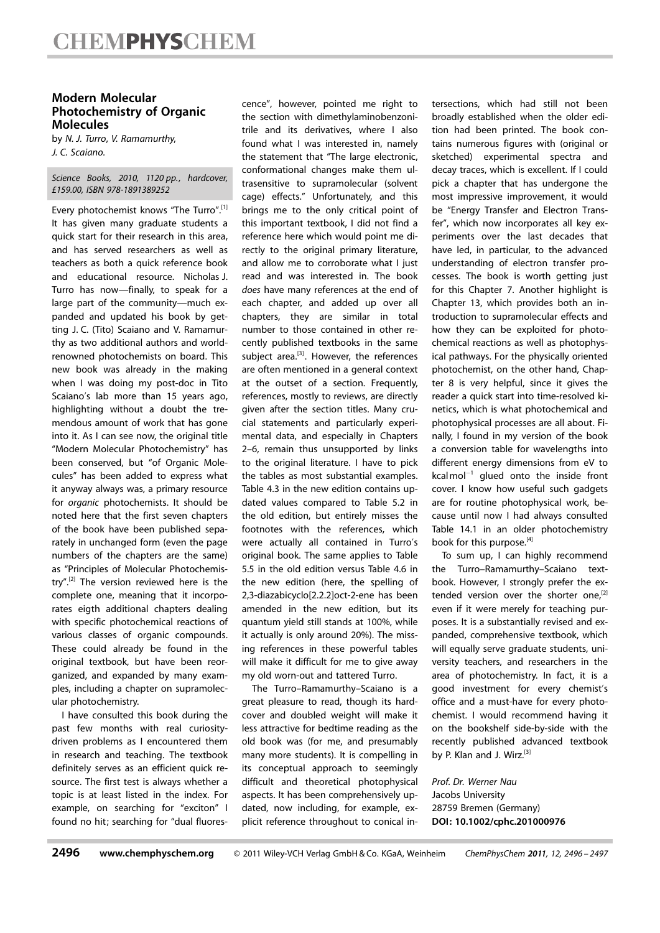## Modern Molecular Photochemistry of Organic Molecules

by N. J. Turro, V. Ramamurthy, J. C. Scaiano.

Science Books, 2010, 1120 pp., hardcover, £159.00, ISBN 978-1891389252

Every photochemist knows "The Turro".[1] It has given many graduate students a quick start for their research in this area, and has served researchers as well as teachers as both a quick reference book and educational resource. Nicholas J. Turro has now—finally, to speak for a large part of the community—much expanded and updated his book by getting J. C. (Tito) Scaiano and V. Ramamurthy as two additional authors and worldrenowned photochemists on board. This new book was already in the making when I was doing my post-doc in Tito Scaiano's lab more than 15 years ago, highlighting without a doubt the tremendous amount of work that has gone into it. As I can see now, the original title "Modern Molecular Photochemistry" has been conserved, but "of Organic Molecules" has been added to express what it anyway always was, a primary resource for organic photochemists. It should be noted here that the first seven chapters of the book have been published separately in unchanged form (even the page numbers of the chapters are the same) as "Principles of Molecular Photochemistry".[2] The version reviewed here is the complete one, meaning that it incorporates eigth additional chapters dealing with specific photochemical reactions of various classes of organic compounds. These could already be found in the original textbook, but have been reorganized, and expanded by many examples, including a chapter on supramolecular photochemistry.

I have consulted this book during the past few months with real curiositydriven problems as I encountered them in research and teaching. The textbook definitely serves as an efficient quick resource. The first test is always whether a topic is at least listed in the index. For example, on searching for "exciton" I found no hit; searching for "dual fluorescence", however, pointed me right to the section with dimethylaminobenzonitrile and its derivatives, where I also found what I was interested in, namely the statement that "The large electronic, conformational changes make them ultrasensitive to supramolecular (solvent cage) effects." Unfortunately, and this brings me to the only critical point of this important textbook, I did not find a reference here which would point me directly to the original primary literature, and allow me to corroborate what I just read and was interested in. The book does have many references at the end of each chapter, and added up over all chapters, they are similar in total number to those contained in other recently published textbooks in the same subject area.<sup>[3]</sup>. However, the references are often mentioned in a general context at the outset of a section. Frequently, references, mostly to reviews, are directly given after the section titles. Many crucial statements and particularly experimental data, and especially in Chapters 2–6, remain thus unsupported by links to the original literature. I have to pick the tables as most substantial examples. Table 4.3 in the new edition contains updated values compared to Table 5.2 in the old edition, but entirely misses the footnotes with the references, which were actually all contained in Turro's original book. The same applies to Table 5.5 in the old edition versus Table 4.6 in the new edition (here, the spelling of 2,3-diazabicyclo[2.2.2]oct-2-ene has been amended in the new edition, but its quantum yield still stands at 100%, while it actually is only around 20%). The missing references in these powerful tables will make it difficult for me to give away my old worn-out and tattered Turro.

The Turro–Ramamurthy–Scaiano is a great pleasure to read, though its hardcover and doubled weight will make it less attractive for bedtime reading as the old book was (for me, and presumably many more students). It is compelling in its conceptual approach to seemingly difficult and theoretical photophysical aspects. It has been comprehensively updated, now including, for example, explicit reference throughout to conical intersections, which had still not been broadly established when the older edition had been printed. The book contains numerous figures with (original or sketched) experimental spectra and decay traces, which is excellent. If I could pick a chapter that has undergone the most impressive improvement, it would be "Energy Transfer and Electron Transfer", which now incorporates all key experiments over the last decades that have led, in particular, to the advanced understanding of electron transfer processes. The book is worth getting just for this Chapter 7. Another highlight is Chapter 13, which provides both an introduction to supramolecular effects and how they can be exploited for photochemical reactions as well as photophysical pathways. For the physically oriented photochemist, on the other hand, Chapter 8 is very helpful, since it gives the reader a quick start into time-resolved kinetics, which is what photochemical and photophysical processes are all about. Finally, I found in my version of the book a conversion table for wavelengths into different energy dimensions from eV to  $kcal$  mol<sup>-1</sup> glued onto the inside front cover. I know how useful such gadgets are for routine photophysical work, because until now I had always consulted Table 14.1 in an older photochemistry book for this purpose.<sup>[4]</sup>

To sum up, I can highly recommend the Turro–Ramamurthy–Scaiano textbook. However, I strongly prefer the extended version over the shorter one, $[2]$ even if it were merely for teaching purposes. It is a substantially revised and expanded, comprehensive textbook, which will equally serve graduate students, university teachers, and researchers in the area of photochemistry. In fact, it is a good investment for every chemist's office and a must-have for every photochemist. I would recommend having it on the bookshelf side-by-side with the recently published advanced textbook by P. Klan and J. Wirz.<sup>[3]</sup>

Prof. Dr. Werner Nau Jacobs University 28759 Bremen (Germany) DOI: 10.1002/cphc.201000976